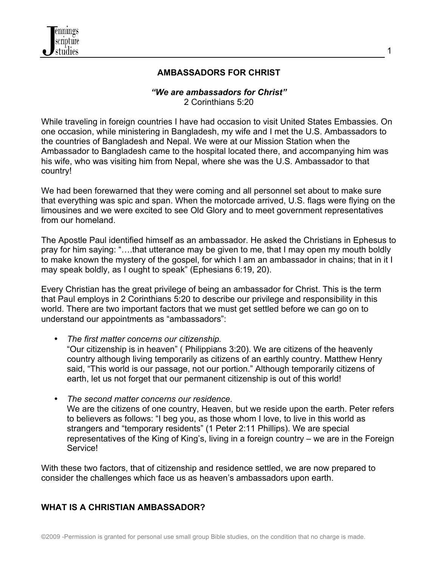

# **AMBASSADORS FOR CHRIST**

#### *"We are ambassadors for Christ"* 2 Corinthians 5:20

While traveling in foreign countries I have had occasion to visit United States Embassies. On one occasion, while ministering in Bangladesh, my wife and I met the U.S. Ambassadors to the countries of Bangladesh and Nepal. We were at our Mission Station when the Ambassador to Bangladesh came to the hospital located there, and accompanying him was his wife, who was visiting him from Nepal, where she was the U.S. Ambassador to that country!

We had been forewarned that they were coming and all personnel set about to make sure that everything was spic and span. When the motorcade arrived, U.S. flags were flying on the limousines and we were excited to see Old Glory and to meet government representatives from our homeland.

The Apostle Paul identified himself as an ambassador. He asked the Christians in Ephesus to pray for him saying: "….that utterance may be given to me, that I may open my mouth boldly to make known the mystery of the gospel, for which I am an ambassador in chains; that in it I may speak boldly, as I ought to speak" (Ephesians 6:19, 20).

Every Christian has the great privilege of being an ambassador for Christ. This is the term that Paul employs in 2 Corinthians 5:20 to describe our privilege and responsibility in this world. There are two important factors that we must get settled before we can go on to understand our appointments as "ambassadors":

- *The first matter concerns our citizenship.*  "Our citizenship is in heaven" ( Philippians 3:20). We are citizens of the heavenly country although living temporarily as citizens of an earthly country. Matthew Henry said, "This world is our passage, not our portion." Although temporarily citizens of earth, let us not forget that our permanent citizenship is out of this world!
- *The second matter concerns our residence.*  We are the citizens of one country, Heaven, but we reside upon the earth. Peter refers to believers as follows: "I beg you, as those whom I love, to live in this world as strangers and "temporary residents" (1 Peter 2:11 Phillips). We are special representatives of the King of King's, living in a foreign country – we are in the Foreign Service!

With these two factors, that of citizenship and residence settled, we are now prepared to consider the challenges which face us as heaven's ambassadors upon earth.

# **WHAT IS A CHRISTIAN AMBASSADOR?**

1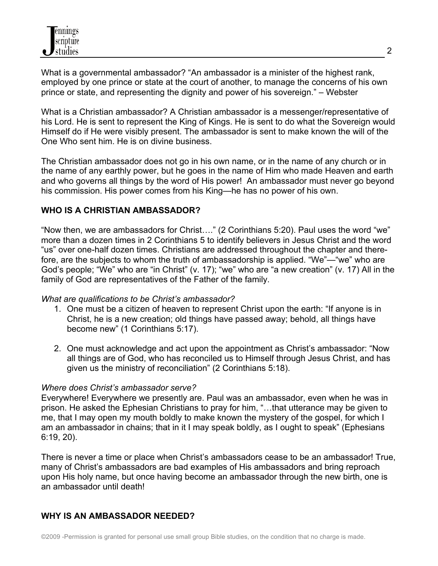What is a governmental ambassador? "An ambassador is a minister of the highest rank, employed by one prince or state at the court of another, to manage the concerns of his own prince or state, and representing the dignity and power of his sovereign." – Webster

What is a Christian ambassador? A Christian ambassador is a messenger/representative of his Lord. He is sent to represent the King of Kings. He is sent to do what the Sovereign would Himself do if He were visibly present. The ambassador is sent to make known the will of the One Who sent him. He is on divine business.

The Christian ambassador does not go in his own name, or in the name of any church or in the name of any earthly power, but he goes in the name of Him who made Heaven and earth and who governs all things by the word of His power! An ambassador must never go beyond his commission. His power comes from his King—he has no power of his own.

# **WHO IS A CHRISTIAN AMBASSADOR?**

"Now then, we are ambassadors for Christ…." (2 Corinthians 5:20). Paul uses the word "we" more than a dozen times in 2 Corinthians 5 to identify believers in Jesus Christ and the word "us" over one-half dozen times. Christians are addressed throughout the chapter and therefore, are the subjects to whom the truth of ambassadorship is applied. "We"—"we" who are God's people; "We" who are "in Christ" (v. 17); "we" who are "a new creation" (v. 17) All in the family of God are representatives of the Father of the family.

### *What are qualifications to be Christ's ambassador?*

- 1. One must be a citizen of heaven to represent Christ upon the earth: "If anyone is in Christ, he is a new creation; old things have passed away; behold, all things have become new" (1 Corinthians 5:17).
- 2. One must acknowledge and act upon the appointment as Christ's ambassador: "Now all things are of God, who has reconciled us to Himself through Jesus Christ, and has given us the ministry of reconciliation" (2 Corinthians 5:18).

### *Where does Christ's ambassador serve?*

Everywhere! Everywhere we presently are. Paul was an ambassador, even when he was in prison. He asked the Ephesian Christians to pray for him, "…that utterance may be given to me, that I may open my mouth boldly to make known the mystery of the gospel, for which I am an ambassador in chains; that in it I may speak boldly, as I ought to speak" (Ephesians 6:19, 20).

There is never a time or place when Christ's ambassadors cease to be an ambassador! True, many of Christ's ambassadors are bad examples of His ambassadors and bring reproach upon His holy name, but once having become an ambassador through the new birth, one is an ambassador until death!

# **WHY IS AN AMBASSADOR NEEDED?**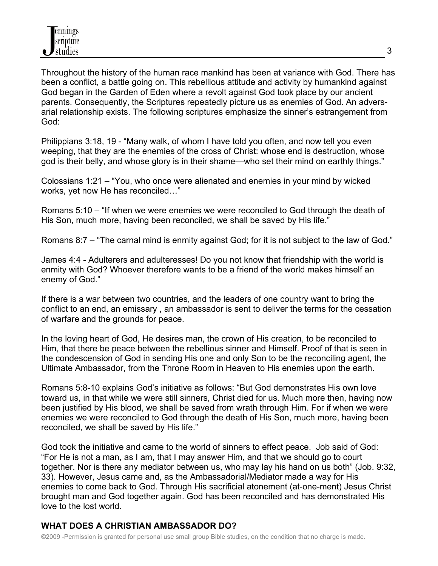Throughout the history of the human race mankind has been at variance with God. There has been a conflict, a battle going on. This rebellious attitude and activity by humankind against God began in the Garden of Eden where a revolt against God took place by our ancient parents. Consequently, the Scriptures repeatedly picture us as enemies of God. An adversarial relationship exists. The following scriptures emphasize the sinner's estrangement from God:

Philippians 3:18, 19 - "Many walk, of whom I have told you often, and now tell you even weeping, that they are the enemies of the cross of Christ: whose end is destruction, whose god is their belly, and whose glory is in their shame—who set their mind on earthly things."

Colossians 1:21 – "You, who once were alienated and enemies in your mind by wicked works, yet now He has reconciled…"

Romans 5:10 – "If when we were enemies we were reconciled to God through the death of His Son, much more, having been reconciled, we shall be saved by His life."

Romans 8:7 – "The carnal mind is enmity against God; for it is not subject to the law of God."

James 4:4 - Adulterers and adulteresses! Do you not know that friendship with the world is enmity with God? Whoever therefore wants to be a friend of the world makes himself an enemy of God."

If there is a war between two countries, and the leaders of one country want to bring the conflict to an end, an emissary , an ambassador is sent to deliver the terms for the cessation of warfare and the grounds for peace.

In the loving heart of God, He desires man, the crown of His creation, to be reconciled to Him, that there be peace between the rebellious sinner and Himself. Proof of that is seen in the condescension of God in sending His one and only Son to be the reconciling agent, the Ultimate Ambassador, from the Throne Room in Heaven to His enemies upon the earth.

Romans 5:8-10 explains God's initiative as follows: "But God demonstrates His own love toward us, in that while we were still sinners, Christ died for us. Much more then, having now been justified by His blood, we shall be saved from wrath through Him. For if when we were enemies we were reconciled to God through the death of His Son, much more, having been reconciled, we shall be saved by His life."

God took the initiative and came to the world of sinners to effect peace. Job said of God: "For He is not a man, as I am, that I may answer Him, and that we should go to court together. Nor is there any mediator between us, who may lay his hand on us both" (Job. 9:32, 33). However, Jesus came and, as the Ambassadorial/Mediator made a way for His enemies to come back to God. Through His sacrificial atonement (at-one-ment) Jesus Christ brought man and God together again. God has been reconciled and has demonstrated His love to the lost world.

# **WHAT DOES A CHRISTIAN AMBASSADOR DO?**

©2009 -Permission is granted for personal use small group Bible studies, on the condition that no charge is made.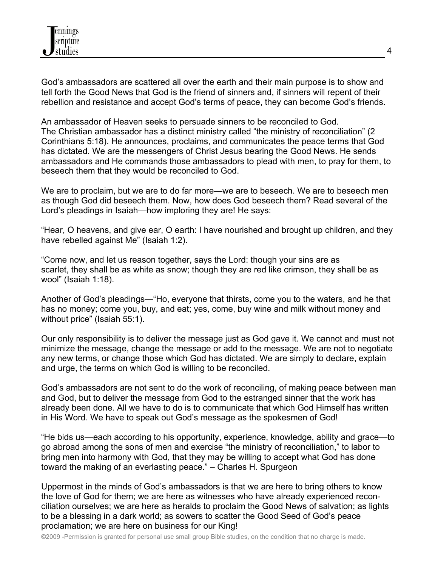God's ambassadors are scattered all over the earth and their main purpose is to show and tell forth the Good News that God is the friend of sinners and, if sinners will repent of their rebellion and resistance and accept God's terms of peace, they can become God's friends.

An ambassador of Heaven seeks to persuade sinners to be reconciled to God. The Christian ambassador has a distinct ministry called "the ministry of reconciliation" (2 Corinthians 5:18). He announces, proclaims, and communicates the peace terms that God has dictated. We are the messengers of Christ Jesus bearing the Good News. He sends ambassadors and He commands those ambassadors to plead with men, to pray for them, to beseech them that they would be reconciled to God.

We are to proclaim, but we are to do far more—we are to beseech. We are to beseech men as though God did beseech them. Now, how does God beseech them? Read several of the Lord's pleadings in Isaiah—how imploring they are! He says:

"Hear, O heavens, and give ear, O earth: I have nourished and brought up children, and they have rebelled against Me" (Isaiah 1:2).

"Come now, and let us reason together, says the Lord: though your sins are as scarlet, they shall be as white as snow; though they are red like crimson, they shall be as wool" (Isaiah 1:18).

Another of God's pleadings—"Ho, everyone that thirsts, come you to the waters, and he that has no money; come you, buy, and eat; yes, come, buy wine and milk without money and without price" (Isaiah 55:1).

Our only responsibility is to deliver the message just as God gave it. We cannot and must not minimize the message, change the message or add to the message. We are not to negotiate any new terms, or change those which God has dictated. We are simply to declare, explain and urge, the terms on which God is willing to be reconciled.

God's ambassadors are not sent to do the work of reconciling, of making peace between man and God, but to deliver the message from God to the estranged sinner that the work has already been done. All we have to do is to communicate that which God Himself has written in His Word. We have to speak out God's message as the spokesmen of God!

"He bids us—each according to his opportunity, experience, knowledge, ability and grace—to go abroad among the sons of men and exercise "the ministry of reconciliation," to labor to bring men into harmony with God, that they may be willing to accept what God has done toward the making of an everlasting peace." – Charles H. Spurgeon

Uppermost in the minds of God's ambassadors is that we are here to bring others to know the love of God for them; we are here as witnesses who have already experienced reconciliation ourselves; we are here as heralds to proclaim the Good News of salvation; as lights to be a blessing in a dark world; as sowers to scatter the Good Seed of God's peace proclamation; we are here on business for our King!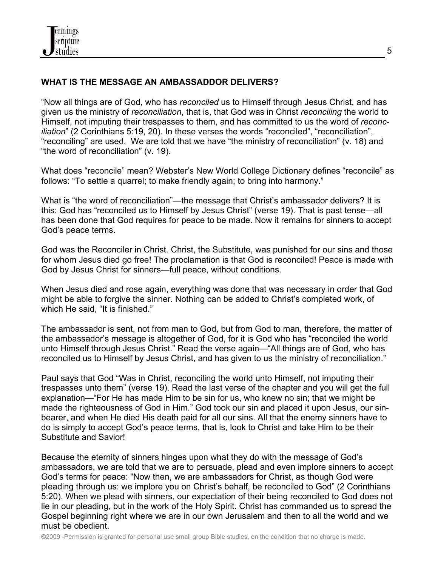# **WHAT IS THE MESSAGE AN AMBASSADDOR DELIVERS?**

"Now all things are of God, who has *reconciled* us to Himself through Jesus Christ, and has given us the ministry of *reconciliation*, that is, that God was in Christ *reconciling* the world to Himself, not imputing their trespasses to them, and has committed to us the word of *reconciliation*" (2 Corinthians 5:19, 20). In these verses the words "reconciled", "reconciliation", "reconciling" are used. We are told that we have "the ministry of reconciliation" (v. 18) and "the word of reconciliation" (v. 19).

What does "reconcile" mean? Webster's New World College Dictionary defines "reconcile" as follows: "To settle a quarrel; to make friendly again; to bring into harmony."

What is "the word of reconciliation"—the message that Christ's ambassador delivers? It is this: God has "reconciled us to Himself by Jesus Christ" (verse 19). That is past tense—all has been done that God requires for peace to be made. Now it remains for sinners to accept God's peace terms.

God was the Reconciler in Christ. Christ, the Substitute, was punished for our sins and those for whom Jesus died go free! The proclamation is that God is reconciled! Peace is made with God by Jesus Christ for sinners—full peace, without conditions.

When Jesus died and rose again, everything was done that was necessary in order that God might be able to forgive the sinner. Nothing can be added to Christ's completed work, of which He said, "It is finished."

The ambassador is sent, not from man to God, but from God to man, therefore, the matter of the ambassador's message is altogether of God, for it is God who has "reconciled the world unto Himself through Jesus Christ." Read the verse again—"All things are of God, who has reconciled us to Himself by Jesus Christ, and has given to us the ministry of reconciliation."

Paul says that God "Was in Christ, reconciling the world unto Himself, not imputing their trespasses unto them" (verse 19). Read the last verse of the chapter and you will get the full explanation—"For He has made Him to be sin for us, who knew no sin; that we might be made the righteousness of God in Him." God took our sin and placed it upon Jesus, our sinbearer, and when He died His death paid for all our sins. All that the enemy sinners have to do is simply to accept God's peace terms, that is, look to Christ and take Him to be their Substitute and Savior!

Because the eternity of sinners hinges upon what they do with the message of God's ambassadors, we are told that we are to persuade, plead and even implore sinners to accept God's terms for peace: "Now then, we are ambassadors for Christ, as though God were pleading through us: we implore you on Christ's behalf, be reconciled to God" (2 Corinthians 5:20). When we plead with sinners, our expectation of their being reconciled to God does not lie in our pleading, but in the work of the Holy Spirit. Christ has commanded us to spread the Gospel beginning right where we are in our own Jerusalem and then to all the world and we must be obedient.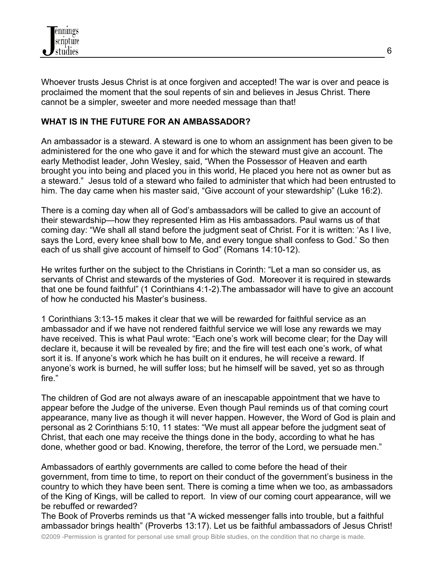

Whoever trusts Jesus Christ is at once forgiven and accepted! The war is over and peace is proclaimed the moment that the soul repents of sin and believes in Jesus Christ. There cannot be a simpler, sweeter and more needed message than that!

## **WHAT IS IN THE FUTURE FOR AN AMBASSADOR?**

An ambassador is a steward. A steward is one to whom an assignment has been given to be administered for the one who gave it and for which the steward must give an account. The early Methodist leader, John Wesley, said, "When the Possessor of Heaven and earth brought you into being and placed you in this world, He placed you here not as owner but as a steward." Jesus told of a steward who failed to administer that which had been entrusted to him. The day came when his master said, "Give account of your stewardship" (Luke 16:2).

There is a coming day when all of God's ambassadors will be called to give an account of their stewardship—how they represented Him as His ambassadors. Paul warns us of that coming day: "We shall all stand before the judgment seat of Christ. For it is written: 'As I live, says the Lord, every knee shall bow to Me, and every tongue shall confess to God.' So then each of us shall give account of himself to God" (Romans 14:10-12).

He writes further on the subject to the Christians in Corinth: "Let a man so consider us, as servants of Christ and stewards of the mysteries of God. Moreover it is required in stewards that one be found faithful" (1 Corinthians 4:1-2).The ambassador will have to give an account of how he conducted his Master's business.

1 Corinthians 3:13-15 makes it clear that we will be rewarded for faithful service as an ambassador and if we have not rendered faithful service we will lose any rewards we may have received. This is what Paul wrote: "Each one's work will become clear; for the Day will declare it, because it will be revealed by fire; and the fire will test each one's work, of what sort it is. If anyone's work which he has built on it endures, he will receive a reward. If anyone's work is burned, he will suffer loss; but he himself will be saved, yet so as through fire."

The children of God are not always aware of an inescapable appointment that we have to appear before the Judge of the universe. Even though Paul reminds us of that coming court appearance, many live as though it will never happen. However, the Word of God is plain and personal as 2 Corinthians 5:10, 11 states: "We must all appear before the judgment seat of Christ, that each one may receive the things done in the body, according to what he has done, whether good or bad. Knowing, therefore, the terror of the Lord, we persuade men."

Ambassadors of earthly governments are called to come before the head of their government, from time to time, to report on their conduct of the government's business in the country to which they have been sent. There is coming a time when we too, as ambassadors of the King of Kings, will be called to report. In view of our coming court appearance, will we be rebuffed or rewarded?

The Book of Proverbs reminds us that "A wicked messenger falls into trouble, but a faithful ambassador brings health" (Proverbs 13:17). Let us be faithful ambassadors of Jesus Christ!